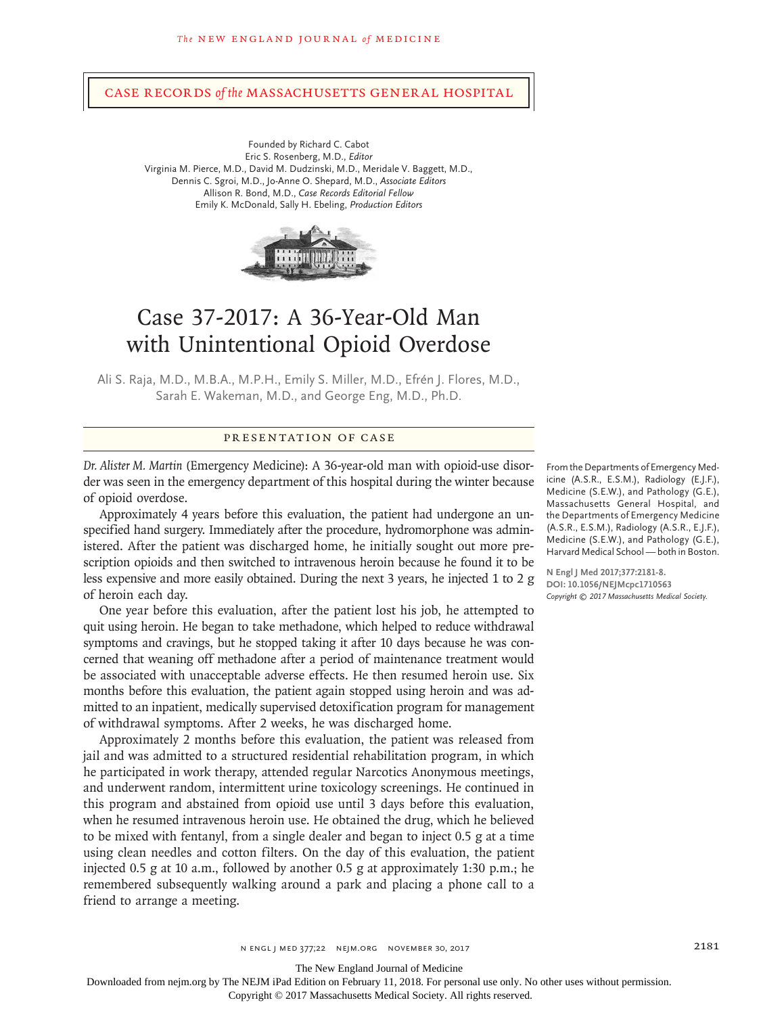#### Case Records *of the* Massachusetts General Hospital

Founded by Richard C. Cabot Eric S. Rosenberg, M.D., *Editor* Virginia M. Pierce, M.D., David M. Dudzinski, M.D., Meridale V. Baggett, M.D., Dennis C. Sgroi, M.D., Jo‑Anne O. Shepard, M.D., *Associate Editors* Allison R. Bond, M.D., *Case Records Editorial Fellow* Emily K. McDonald, Sally H. Ebeling, *Production Editors*



# Case 37-2017: A 36-Year-Old Man with Unintentional Opioid Overdose

Ali S. Raja, M.D., M.B.A., M.P.H., Emily S. Miller, M.D., Efrén J. Flores, M.D., Sarah E. Wakeman, M.D., and George Eng, M.D., Ph.D.

### Presentation of Case

*Dr. Alister M. Martin* (Emergency Medicine): A 36-year-old man with opioid-use disorder was seen in the emergency department of this hospital during the winter because of opioid overdose.

Approximately 4 years before this evaluation, the patient had undergone an unspecified hand surgery. Immediately after the procedure, hydromorphone was administered. After the patient was discharged home, he initially sought out more prescription opioids and then switched to intravenous heroin because he found it to be less expensive and more easily obtained. During the next 3 years, he injected 1 to 2 g of heroin each day.

One year before this evaluation, after the patient lost his job, he attempted to quit using heroin. He began to take methadone, which helped to reduce withdrawal symptoms and cravings, but he stopped taking it after 10 days because he was concerned that weaning off methadone after a period of maintenance treatment would be associated with unacceptable adverse effects. He then resumed heroin use. Six months before this evaluation, the patient again stopped using heroin and was admitted to an inpatient, medically supervised detoxification program for management of withdrawal symptoms. After 2 weeks, he was discharged home.

Approximately 2 months before this evaluation, the patient was released from jail and was admitted to a structured residential rehabilitation program, in which he participated in work therapy, attended regular Narcotics Anonymous meetings, and underwent random, intermittent urine toxicology screenings. He continued in this program and abstained from opioid use until 3 days before this evaluation, when he resumed intravenous heroin use. He obtained the drug, which he believed to be mixed with fentanyl, from a single dealer and began to inject 0.5 g at a time using clean needles and cotton filters. On the day of this evaluation, the patient injected 0.5 g at 10 a.m., followed by another 0.5 g at approximately 1:30 p.m.; he remembered subsequently walking around a park and placing a phone call to a friend to arrange a meeting.

From the Departments of Emergency Med‑ icine (A.S.R., E.S.M.), Radiology (E.J.F.), Medicine (S.E.W.), and Pathology (G.E.), Massachusetts General Hospital, and the Departments of Emergency Medicine (A.S.R., E.S.M.), Radiology (A.S.R., E.J.F.), Medicine (S.E.W.), and Pathology (G.E.), Harvard Medical School — both in Boston.

**N Engl J Med 2017;377:2181-8. DOI: 10.1056/NEJMcpc1710563** *Copyright © 2017 Massachusetts Medical Society.*

n engl j med 377;22 nejm.org November 30, 2017 2181

The New England Journal of Medicine

Downloaded from nejm.org by The NEJM iPad Edition on February 11, 2018. For personal use only. No other uses without permission.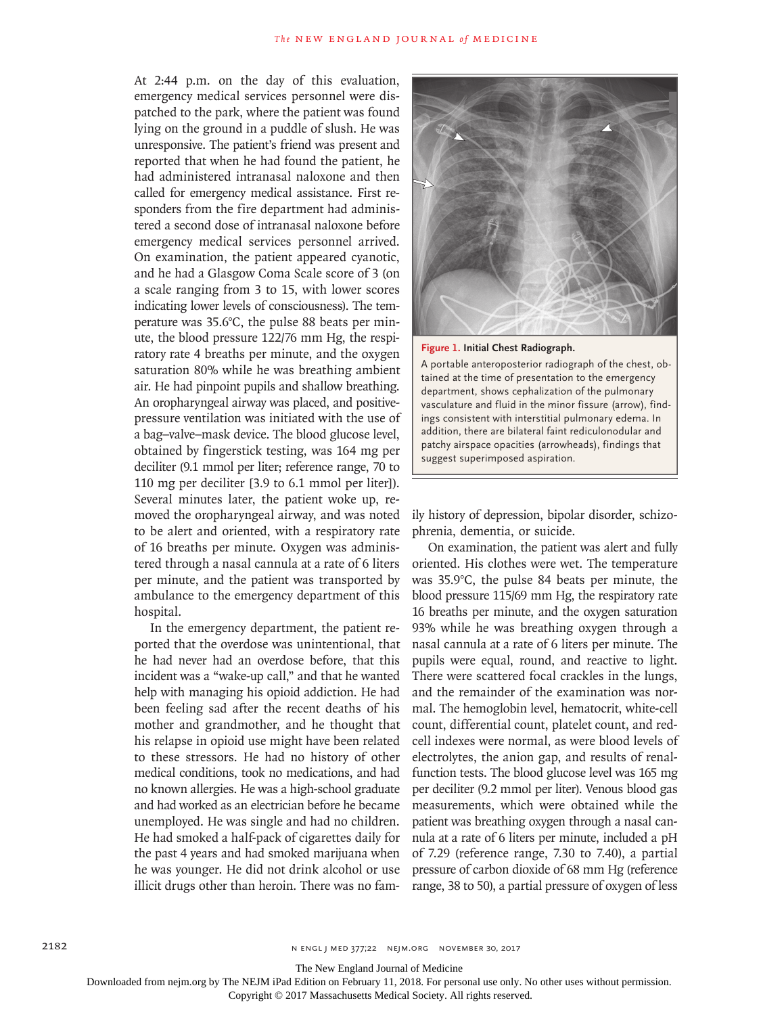At 2:44 p.m. on the day of this evaluation, emergency medical services personnel were dispatched to the park, where the patient was found lying on the ground in a puddle of slush. He was unresponsive. The patient's friend was present and reported that when he had found the patient, he had administered intranasal naloxone and then called for emergency medical assistance. First responders from the fire department had administered a second dose of intranasal naloxone before emergency medical services personnel arrived. On examination, the patient appeared cyanotic, and he had a Glasgow Coma Scale score of 3 (on a scale ranging from 3 to 15, with lower scores indicating lower levels of consciousness). The temperature was 35.6°C, the pulse 88 beats per minute, the blood pressure 122/76 mm Hg, the respiratory rate 4 breaths per minute, and the oxygen saturation 80% while he was breathing ambient air. He had pinpoint pupils and shallow breathing. An oropharyngeal airway was placed, and positivepressure ventilation was initiated with the use of a bag–valve–mask device. The blood glucose level, obtained by fingerstick testing, was 164 mg per deciliter (9.1 mmol per liter; reference range, 70 to 110 mg per deciliter [3.9 to 6.1 mmol per liter]). Several minutes later, the patient woke up, removed the oropharyngeal airway, and was noted to be alert and oriented, with a respiratory rate of 16 breaths per minute. Oxygen was administered through a nasal cannula at a rate of 6 liters per minute, and the patient was transported by ambulance to the emergency department of this hospital.

In the emergency department, the patient reported that the overdose was unintentional, that he had never had an overdose before, that this incident was a "wake-up call," and that he wanted help with managing his opioid addiction. He had been feeling sad after the recent deaths of his mother and grandmother, and he thought that his relapse in opioid use might have been related to these stressors. He had no history of other medical conditions, took no medications, and had no known allergies. He was a high-school graduate and had worked as an electrician before he became unemployed. He was single and had no children. He had smoked a half-pack of cigarettes daily for the past 4 years and had smoked marijuana when he was younger. He did not drink alcohol or use illicit drugs other than heroin. There was no fam-





A portable anteroposterior radiograph of the chest, obtained at the time of presentation to the emergency department, shows cephalization of the pulmonary vasculature and fluid in the minor fissure (arrow), findings consistent with interstitial pulmonary edema. In addition, there are bilateral faint rediculonodular and patchy airspace opacities (arrowheads), findings that suggest superimposed aspiration.

ily history of depression, bipolar disorder, schizophrenia, dementia, or suicide.

On examination, the patient was alert and fully oriented. His clothes were wet. The temperature was 35.9°C, the pulse 84 beats per minute, the blood pressure 115/69 mm Hg, the respiratory rate 16 breaths per minute, and the oxygen saturation 93% while he was breathing oxygen through a nasal cannula at a rate of 6 liters per minute. The pupils were equal, round, and reactive to light. There were scattered focal crackles in the lungs, and the remainder of the examination was normal. The hemoglobin level, hematocrit, white-cell count, differential count, platelet count, and redcell indexes were normal, as were blood levels of electrolytes, the anion gap, and results of renalfunction tests. The blood glucose level was 165 mg per deciliter (9.2 mmol per liter). Venous blood gas measurements, which were obtained while the patient was breathing oxygen through a nasal cannula at a rate of 6 liters per minute, included a pH of 7.29 (reference range, 7.30 to 7.40), a partial pressure of carbon dioxide of 68 mm Hg (reference range, 38 to 50), a partial pressure of oxygen of less

The New England Journal of Medicine

Downloaded from nejm.org by The NEJM iPad Edition on February 11, 2018. For personal use only. No other uses without permission.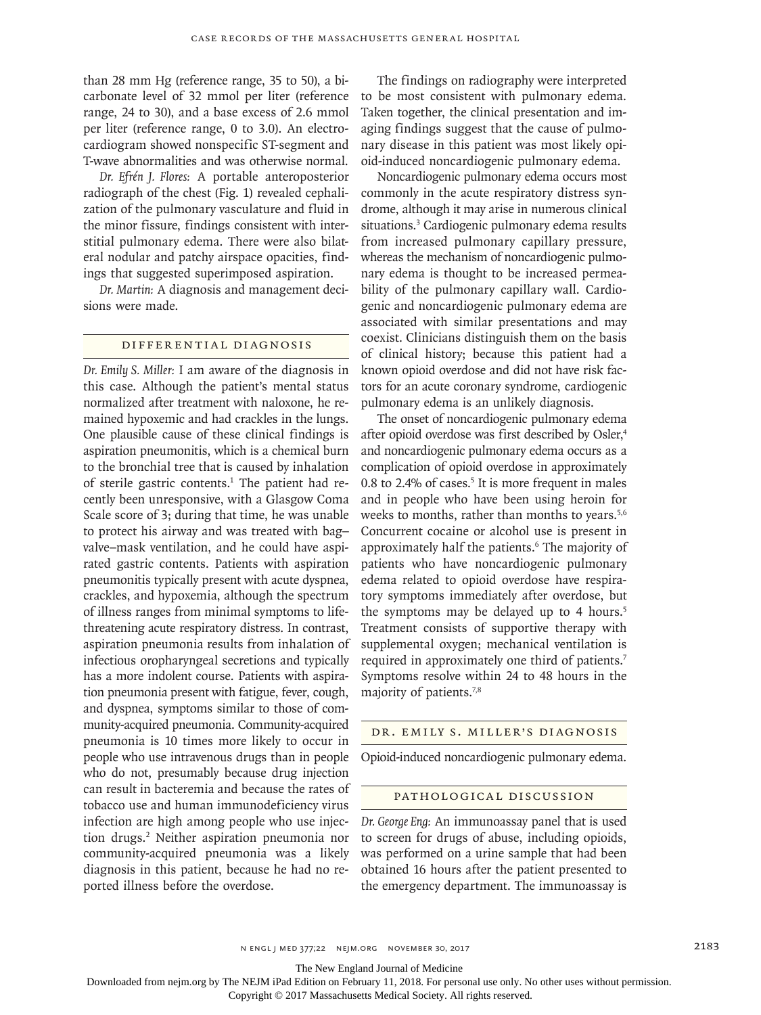than 28 mm Hg (reference range, 35 to 50), a bicarbonate level of 32 mmol per liter (reference range, 24 to 30), and a base excess of 2.6 mmol per liter (reference range, 0 to 3.0). An electrocardiogram showed nonspecific ST-segment and T-wave abnormalities and was otherwise normal.

*Dr. Efrén J. Flores:* A portable anteroposterior radiograph of the chest (Fig. 1) revealed cephalization of the pulmonary vasculature and fluid in the minor fissure, findings consistent with interstitial pulmonary edema. There were also bilateral nodular and patchy airspace opacities, findings that suggested superimposed aspiration.

*Dr. Martin:* A diagnosis and management decisions were made.

## Differential Diagnosis

*Dr. Emily S. Miller:* I am aware of the diagnosis in this case. Although the patient's mental status normalized after treatment with naloxone, he remained hypoxemic and had crackles in the lungs. One plausible cause of these clinical findings is aspiration pneumonitis, which is a chemical burn to the bronchial tree that is caused by inhalation of sterile gastric contents.<sup>1</sup> The patient had recently been unresponsive, with a Glasgow Coma Scale score of 3; during that time, he was unable to protect his airway and was treated with bag– valve–mask ventilation, and he could have aspirated gastric contents. Patients with aspiration pneumonitis typically present with acute dyspnea, crackles, and hypoxemia, although the spectrum of illness ranges from minimal symptoms to lifethreatening acute respiratory distress. In contrast, aspiration pneumonia results from inhalation of infectious oropharyngeal secretions and typically has a more indolent course. Patients with aspiration pneumonia present with fatigue, fever, cough, and dyspnea, symptoms similar to those of community-acquired pneumonia. Community-acquired pneumonia is 10 times more likely to occur in people who use intravenous drugs than in people who do not, presumably because drug injection can result in bacteremia and because the rates of tobacco use and human immunodeficiency virus infection are high among people who use injection drugs.<sup>2</sup> Neither aspiration pneumonia nor community-acquired pneumonia was a likely diagnosis in this patient, because he had no reported illness before the overdose.

The findings on radiography were interpreted to be most consistent with pulmonary edema. Taken together, the clinical presentation and imaging findings suggest that the cause of pulmonary disease in this patient was most likely opioid-induced noncardiogenic pulmonary edema.

Noncardiogenic pulmonary edema occurs most commonly in the acute respiratory distress syndrome, although it may arise in numerous clinical situations.<sup>3</sup> Cardiogenic pulmonary edema results from increased pulmonary capillary pressure, whereas the mechanism of noncardiogenic pulmonary edema is thought to be increased permeability of the pulmonary capillary wall. Cardiogenic and noncardiogenic pulmonary edema are associated with similar presentations and may coexist. Clinicians distinguish them on the basis of clinical history; because this patient had a known opioid overdose and did not have risk factors for an acute coronary syndrome, cardiogenic pulmonary edema is an unlikely diagnosis.

The onset of noncardiogenic pulmonary edema after opioid overdose was first described by Osler,<sup>4</sup> and noncardiogenic pulmonary edema occurs as a complication of opioid overdose in approximately 0.8 to 2.4% of cases. $5$  It is more frequent in males and in people who have been using heroin for weeks to months, rather than months to years.<sup>5,6</sup> Concurrent cocaine or alcohol use is present in approximately half the patients.6 The majority of patients who have noncardiogenic pulmonary edema related to opioid overdose have respiratory symptoms immediately after overdose, but the symptoms may be delayed up to 4 hours.<sup>5</sup> Treatment consists of supportive therapy with supplemental oxygen; mechanical ventilation is required in approximately one third of patients.<sup>7</sup> Symptoms resolve within 24 to 48 hours in the majority of patients.7,8

### Dr. Emily S. Miller's Diagnosis

Opioid-induced noncardiogenic pulmonary edema.

### Pathological Discussion

*Dr. George Eng:* An immunoassay panel that is used to screen for drugs of abuse, including opioids, was performed on a urine sample that had been obtained 16 hours after the patient presented to the emergency department. The immunoassay is

n engl j med 377;22 nejm.org November 30, 2017 2183

The New England Journal of Medicine

Downloaded from nejm.org by The NEJM iPad Edition on February 11, 2018. For personal use only. No other uses without permission.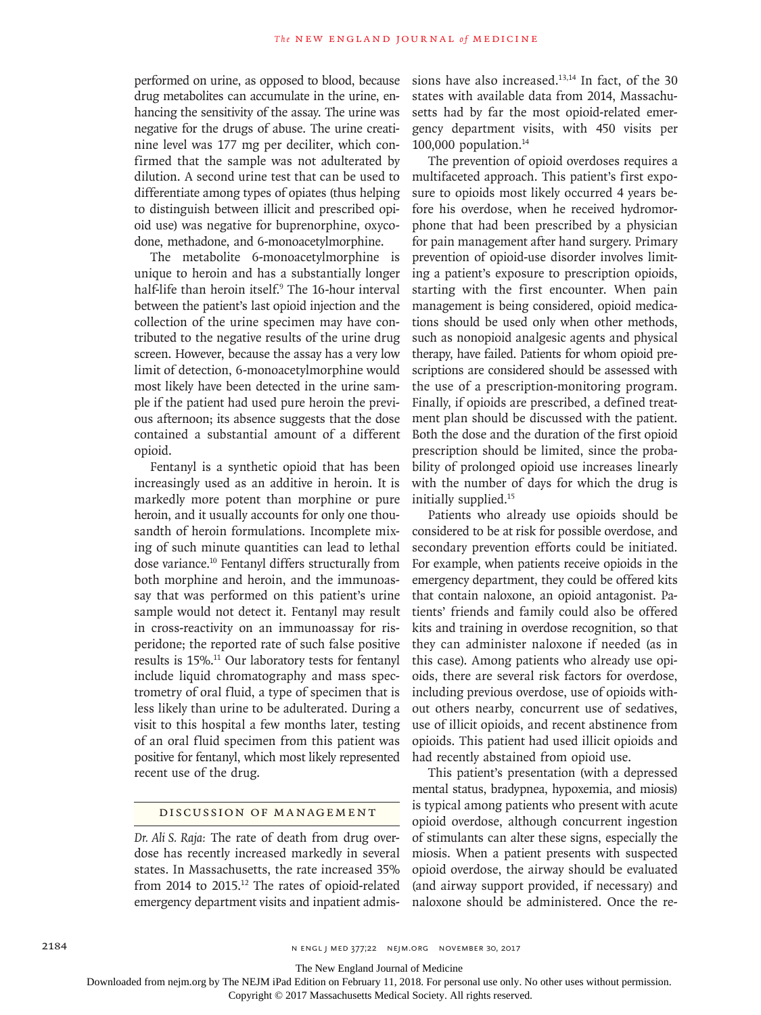performed on urine, as opposed to blood, because drug metabolites can accumulate in the urine, enhancing the sensitivity of the assay. The urine was negative for the drugs of abuse. The urine creatinine level was 177 mg per deciliter, which confirmed that the sample was not adulterated by dilution. A second urine test that can be used to differentiate among types of opiates (thus helping to distinguish between illicit and prescribed opioid use) was negative for buprenorphine, oxycodone, methadone, and 6-monoacetylmorphine.

The metabolite 6-monoacetylmorphine is unique to heroin and has a substantially longer half-life than heroin itself.9 The 16-hour interval between the patient's last opioid injection and the collection of the urine specimen may have contributed to the negative results of the urine drug screen. However, because the assay has a very low limit of detection, 6-monoacetylmorphine would most likely have been detected in the urine sample if the patient had used pure heroin the previous afternoon; its absence suggests that the dose contained a substantial amount of a different opioid.

Fentanyl is a synthetic opioid that has been increasingly used as an additive in heroin. It is markedly more potent than morphine or pure heroin, and it usually accounts for only one thousandth of heroin formulations. Incomplete mixing of such minute quantities can lead to lethal dose variance.10 Fentanyl differs structurally from both morphine and heroin, and the immunoassay that was performed on this patient's urine sample would not detect it. Fentanyl may result in cross-reactivity on an immunoassay for risperidone; the reported rate of such false positive results is 15%.11 Our laboratory tests for fentanyl include liquid chromatography and mass spectrometry of oral fluid, a type of specimen that is less likely than urine to be adulterated. During a visit to this hospital a few months later, testing of an oral fluid specimen from this patient was positive for fentanyl, which most likely represented recent use of the drug.

## Discussion of Management

*Dr. Ali S. Raja:* The rate of death from drug overdose has recently increased markedly in several states. In Massachusetts, the rate increased 35% from 2014 to 2015.<sup>12</sup> The rates of opioid-related emergency department visits and inpatient admissions have also increased.<sup>13,14</sup> In fact, of the 30 states with available data from 2014, Massachusetts had by far the most opioid-related emergency department visits, with 450 visits per 100,000 population. $14$ 

The prevention of opioid overdoses requires a multifaceted approach. This patient's first exposure to opioids most likely occurred 4 years before his overdose, when he received hydromorphone that had been prescribed by a physician for pain management after hand surgery. Primary prevention of opioid-use disorder involves limiting a patient's exposure to prescription opioids, starting with the first encounter. When pain management is being considered, opioid medications should be used only when other methods, such as nonopioid analgesic agents and physical therapy, have failed. Patients for whom opioid prescriptions are considered should be assessed with the use of a prescription-monitoring program. Finally, if opioids are prescribed, a defined treatment plan should be discussed with the patient. Both the dose and the duration of the first opioid prescription should be limited, since the probability of prolonged opioid use increases linearly with the number of days for which the drug is initially supplied.15

Patients who already use opioids should be considered to be at risk for possible overdose, and secondary prevention efforts could be initiated. For example, when patients receive opioids in the emergency department, they could be offered kits that contain naloxone, an opioid antagonist. Patients' friends and family could also be offered kits and training in overdose recognition, so that they can administer naloxone if needed (as in this case). Among patients who already use opioids, there are several risk factors for overdose, including previous overdose, use of opioids without others nearby, concurrent use of sedatives, use of illicit opioids, and recent abstinence from opioids. This patient had used illicit opioids and had recently abstained from opioid use.

This patient's presentation (with a depressed mental status, bradypnea, hypoxemia, and miosis) is typical among patients who present with acute opioid overdose, although concurrent ingestion of stimulants can alter these signs, especially the miosis. When a patient presents with suspected opioid overdose, the airway should be evaluated (and airway support provided, if necessary) and naloxone should be administered. Once the re-

The New England Journal of Medicine

Downloaded from nejm.org by The NEJM iPad Edition on February 11, 2018. For personal use only. No other uses without permission.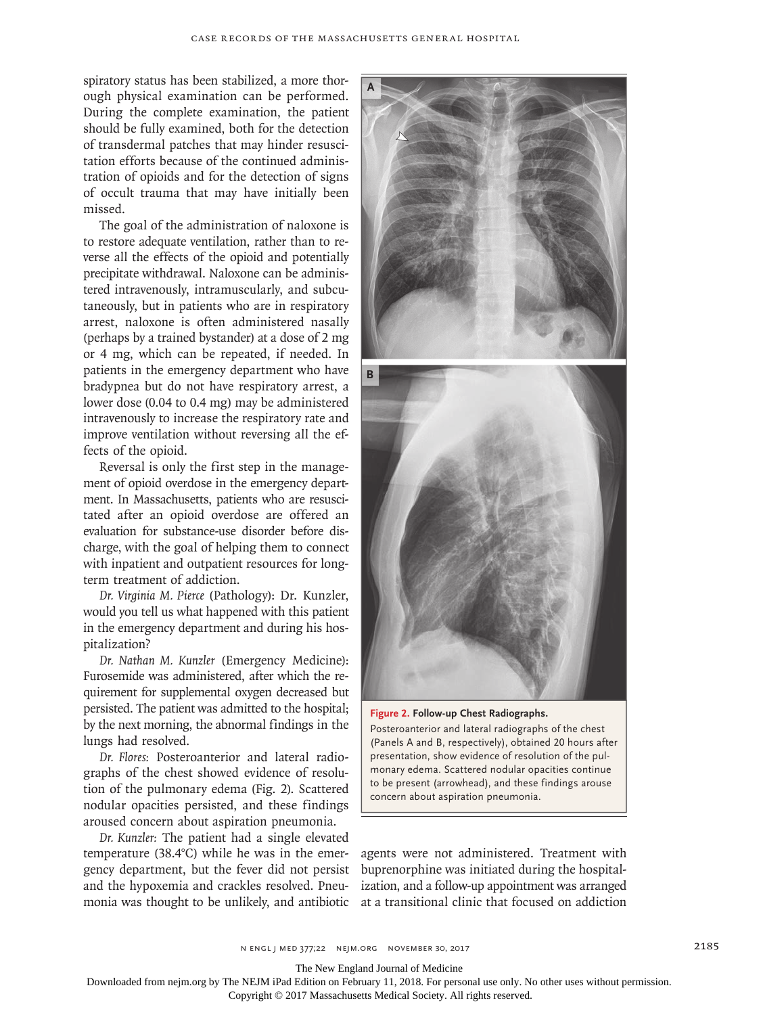spiratory status has been stabilized, a more thorough physical examination can be performed. During the complete examination, the patient should be fully examined, both for the detection of transdermal patches that may hinder resuscitation efforts because of the continued administration of opioids and for the detection of signs of occult trauma that may have initially been missed.

The goal of the administration of naloxone is to restore adequate ventilation, rather than to reverse all the effects of the opioid and potentially precipitate withdrawal. Naloxone can be administered intravenously, intramuscularly, and subcutaneously, but in patients who are in respiratory arrest, naloxone is often administered nasally (perhaps by a trained bystander) at a dose of 2 mg or 4 mg, which can be repeated, if needed. In patients in the emergency department who have bradypnea but do not have respiratory arrest, a lower dose (0.04 to 0.4 mg) may be administered intravenously to increase the respiratory rate and improve ventilation without reversing all the effects of the opioid.

Reversal is only the first step in the management of opioid overdose in the emergency department. In Massachusetts, patients who are resuscitated after an opioid overdose are offered an evaluation for substance-use disorder before discharge, with the goal of helping them to connect with inpatient and outpatient resources for longterm treatment of addiction.

*Dr. Virginia M. Pierce* (Pathology): Dr. Kunzler, would you tell us what happened with this patient in the emergency department and during his hospitalization?

*Dr. Nathan M. Kunzler* (Emergency Medicine): Furosemide was administered, after which the requirement for supplemental oxygen decreased but persisted. The patient was admitted to the hospital; by the next morning, the abnormal findings in the lungs had resolved.

*Dr. Flores:* Posteroanterior and lateral radiographs of the chest showed evidence of resolution of the pulmonary edema (Fig. 2). Scattered nodular opacities persisted, and these findings aroused concern about aspiration pneumonia.

*Dr. Kunzler:* The patient had a single elevated temperature (38.4°C) while he was in the emergency department, but the fever did not persist and the hypoxemia and crackles resolved. Pneumonia was thought to be unlikely, and antibiotic



**Figure 2. Follow-up Chest Radiographs.**

Posteroanterior and lateral radiographs of the chest (Panels A and B, respectively), obtained 20 hours after presentation, show evidence of resolution of the pulmonary edema. Scattered nodular opacities continue to be present (arrowhead), and these findings arouse concern about aspiration pneumonia.

agents were not administered. Treatment with buprenorphine was initiated during the hospitalization, and a follow-up appointment was arranged at a transitional clinic that focused on addiction

n engl j med 377;22 nejm.org November 30, 2017 2185

The New England Journal of Medicine

Downloaded from nejm.org by The NEJM iPad Edition on February 11, 2018. For personal use only. No other uses without permission.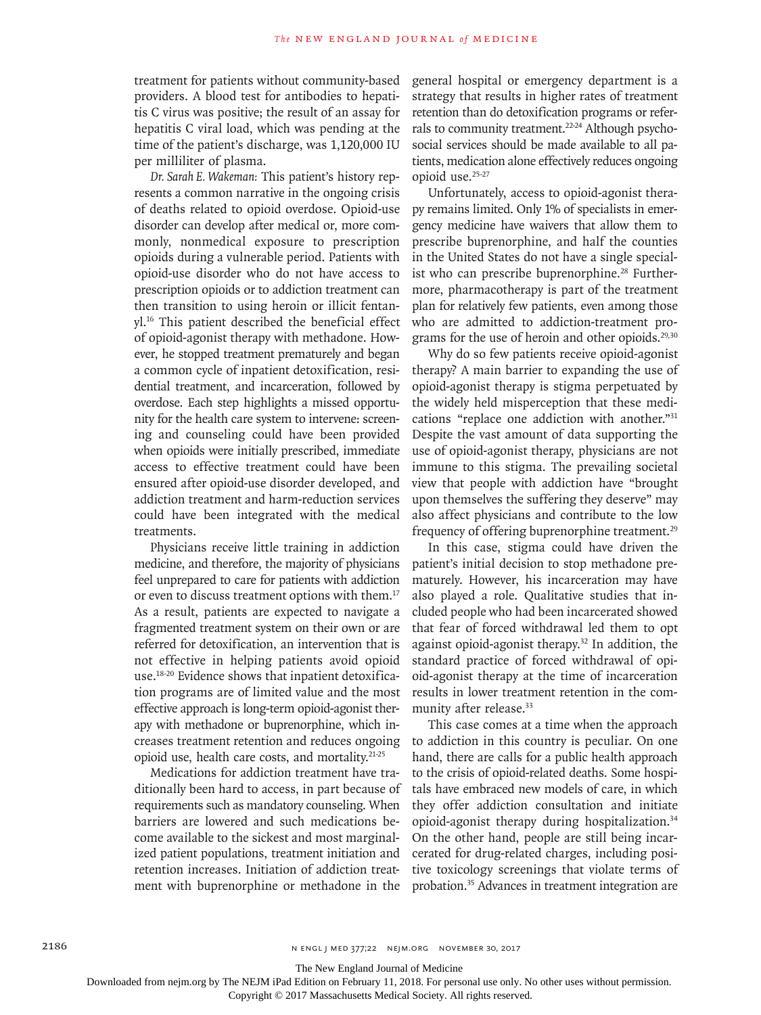treatment for patients without community-based providers. A blood test for antibodies to hepatitis C virus was positive; the result of an assay for hepatitis C viral load, which was pending at the time of the patient's discharge, was 1,120,000 IU per milliliter of plasma.

*Dr. Sarah E. Wakeman:* This patient's history represents a common narrative in the ongoing crisis of deaths related to opioid overdose. Opioid-use disorder can develop after medical or, more commonly, nonmedical exposure to prescription opioids during a vulnerable period. Patients with opioid-use disorder who do not have access to prescription opioids or to addiction treatment can then transition to using heroin or illicit fentanyl.16 This patient described the beneficial effect of opioid-agonist therapy with methadone. However, he stopped treatment prematurely and began a common cycle of inpatient detoxification, residential treatment, and incarceration, followed by overdose. Each step highlights a missed opportunity for the health care system to intervene: screening and counseling could have been provided when opioids were initially prescribed, immediate access to effective treatment could have been ensured after opioid-use disorder developed, and addiction treatment and harm-reduction services could have been integrated with the medical treatments.

Physicians receive little training in addiction medicine, and therefore, the majority of physicians feel unprepared to care for patients with addiction or even to discuss treatment options with them.<sup>17</sup> As a result, patients are expected to navigate a fragmented treatment system on their own or are referred for detoxification, an intervention that is not effective in helping patients avoid opioid use.18-20 Evidence shows that inpatient detoxification programs are of limited value and the most effective approach is long-term opioid-agonist therapy with methadone or buprenorphine, which increases treatment retention and reduces ongoing opioid use, health care costs, and mortality.21-25

Medications for addiction treatment have traditionally been hard to access, in part because of requirements such as mandatory counseling. When barriers are lowered and such medications become available to the sickest and most marginalized patient populations, treatment initiation and retention increases. Initiation of addiction treatment with buprenorphine or methadone in the

general hospital or emergency department is a strategy that results in higher rates of treatment retention than do detoxification programs or referrals to community treatment.22-24 Although psychosocial services should be made available to all patients, medication alone effectively reduces ongoing opioid use.25-27

Unfortunately, access to opioid-agonist therapy remains limited. Only 1% of specialists in emergency medicine have waivers that allow them to prescribe buprenorphine, and half the counties in the United States do not have a single specialist who can prescribe buprenorphine.<sup>28</sup> Furthermore, pharmacotherapy is part of the treatment plan for relatively few patients, even among those who are admitted to addiction-treatment programs for the use of heroin and other opioids. $29,30$ 

Why do so few patients receive opioid-agonist therapy? A main barrier to expanding the use of opioid-agonist therapy is stigma perpetuated by the widely held misperception that these medications "replace one addiction with another."31 Despite the vast amount of data supporting the use of opioid-agonist therapy, physicians are not immune to this stigma. The prevailing societal view that people with addiction have "brought upon themselves the suffering they deserve" may also affect physicians and contribute to the low frequency of offering buprenorphine treatment.<sup>29</sup>

In this case, stigma could have driven the patient's initial decision to stop methadone prematurely. However, his incarceration may have also played a role. Qualitative studies that included people who had been incarcerated showed that fear of forced withdrawal led them to opt against opioid-agonist therapy.32 In addition, the standard practice of forced withdrawal of opioid-agonist therapy at the time of incarceration results in lower treatment retention in the community after release.<sup>33</sup>

This case comes at a time when the approach to addiction in this country is peculiar. On one hand, there are calls for a public health approach to the crisis of opioid-related deaths. Some hospitals have embraced new models of care, in which they offer addiction consultation and initiate opioid-agonist therapy during hospitalization.34 On the other hand, people are still being incarcerated for drug-related charges, including positive toxicology screenings that violate terms of probation.35 Advances in treatment integration are

The New England Journal of Medicine

Downloaded from nejm.org by The NEJM iPad Edition on February 11, 2018. For personal use only. No other uses without permission.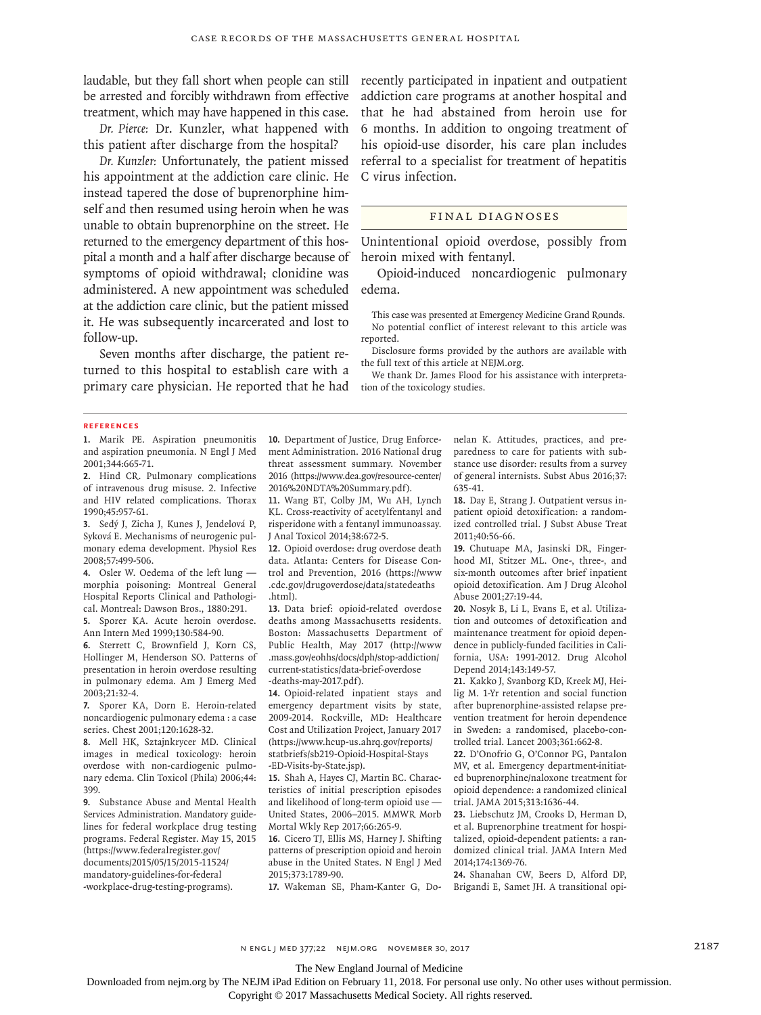laudable, but they fall short when people can still be arrested and forcibly withdrawn from effective treatment, which may have happened in this case.

*Dr. Pierce:* Dr. Kunzler, what happened with this patient after discharge from the hospital?

*Dr. Kunzler:* Unfortunately, the patient missed his appointment at the addiction care clinic. He instead tapered the dose of buprenorphine himself and then resumed using heroin when he was unable to obtain buprenorphine on the street. He returned to the emergency department of this hospital a month and a half after discharge because of symptoms of opioid withdrawal; clonidine was administered. A new appointment was scheduled at the addiction care clinic, but the patient missed it. He was subsequently incarcerated and lost to follow-up.

Seven months after discharge, the patient returned to this hospital to establish care with a primary care physician. He reported that he had recently participated in inpatient and outpatient addiction care programs at another hospital and that he had abstained from heroin use for 6 months. In addition to ongoing treatment of his opioid-use disorder, his care plan includes referral to a specialist for treatment of hepatitis C virus infection.

#### Final Diagnoses

Unintentional opioid overdose, possibly from heroin mixed with fentanyl.

Opioid-induced noncardiogenic pulmonary edema.

This case was presented at Emergency Medicine Grand Rounds. No potential conflict of interest relevant to this article was reported.

Disclosure forms provided by the authors are available with the full text of this article at NEJM.org.

We thank Dr. James Flood for his assistance with interpretation of the toxicology studies.

#### **References**

**1.** Marik PE. Aspiration pneumonitis and aspiration pneumonia. N Engl J Med 2001;344:665-71.

**2.** Hind CR. Pulmonary complications of intravenous drug misuse. 2. Infective and HIV related complications. Thorax 1990;45:957-61.

**3.** Sedý J, Zicha J, Kunes J, Jendelová P, Syková E. Mechanisms of neurogenic pulmonary edema development. Physiol Res 2008;57:499-506.

**4.** Osler W. Oedema of the left lung morphia poisoning: Montreal General Hospital Reports Clinical and Pathological. Montreal: Dawson Bros., 1880:291.

**5.** Sporer KA. Acute heroin overdose. Ann Intern Med 1999;130:584-90.

**6.** Sterrett C, Brownfield J, Korn CS, Hollinger M, Henderson SO. Patterns of presentation in heroin overdose resulting in pulmonary edema. Am J Emerg Med 2003;21:32-4.

**7.** Sporer KA, Dorn E. Heroin-related noncardiogenic pulmonary edema : a case series. Chest 2001;120:1628-32.

**8.** Mell HK, Sztajnkrycer MD. Clinical images in medical toxicology: heroin overdose with non-cardiogenic pulmonary edema. Clin Toxicol (Phila) 2006;44: 399.

**9.** Substance Abuse and Mental Health Services Administration. Mandatory guidelines for federal workplace drug testing programs. Federal Register. May 15, 2015 (https://www.federalregister.gov/ documents/2015/05/15/2015-11524/ mandatory-guidelines-for-federal -workplace-drug-testing-programs).

**10.** Department of Justice, Drug Enforcement Administration. 2016 National drug threat assessment summary. November 2016 (https://www.dea.gov/resource-center/ 2016%20NDTA%20Summary.pdf).

**11.** Wang BT, Colby JM, Wu AH, Lynch KL. Cross-reactivity of acetylfentanyl and risperidone with a fentanyl immunoassay. J Anal Toxicol 2014;38:672-5.

**12.** Opioid overdose: drug overdose death data. Atlanta: Centers for Disease Control and Prevention, 2016 (https://www .cdc.gov/drugoverdose/data/statedeaths .html).

**13.** Data brief: opioid-related overdose deaths among Massachusetts residents. Boston: Massachusetts Department of Public Health, May 2017 (http://www .mass.gov/eohhs/docs/dph/stop-addiction/ current-statistics/data-brief-overdose -deaths-may-2017.pdf).

**14.** Opioid-related inpatient stays and emergency department visits by state, 2009-2014. Rockville, MD: Healthcare Cost and Utilization Project, January 2017 (https://www.hcup-us.ahrq.gov/reports/ statbriefs/sb219-Opioid-Hospital-Stays -ED-Visits-by-State.jsp).

**15.** Shah A, Hayes CJ, Martin BC. Characteristics of initial prescription episodes and likelihood of long-term opioid use — United States, 2006–2015. MMWR Morb Mortal Wkly Rep 2017;66:265-9.

**16.** Cicero TJ, Ellis MS, Harney J. Shifting patterns of prescription opioid and heroin abuse in the United States. N Engl J Med 2015;373:1789-90.

**17.** Wakeman SE, Pham-Kanter G, Do-

nelan K. Attitudes, practices, and preparedness to care for patients with substance use disorder: results from a survey of general internists. Subst Abus 2016;37: 635-41.

**18.** Day E, Strang J. Outpatient versus inpatient opioid detoxification: a randomized controlled trial. J Subst Abuse Treat 2011;40:56-66.

**19.** Chutuape MA, Jasinski DR, Fingerhood MI, Stitzer ML. One-, three-, and six-month outcomes after brief inpatient opioid detoxification. Am J Drug Alcohol Abuse 2001;27:19-44.

**20.** Nosyk B, Li L, Evans E, et al. Utilization and outcomes of detoxification and maintenance treatment for opioid dependence in publicly-funded facilities in California, USA: 1991-2012. Drug Alcohol Depend 2014;143:149-57.

**21.** Kakko J, Svanborg KD, Kreek MJ, Heilig M. 1-Yr retention and social function after buprenorphine-assisted relapse prevention treatment for heroin dependence in Sweden: a randomised, placebo-controlled trial. Lancet 2003;361:662-8.

**22.** D'Onofrio G, O'Connor PG, Pantalon MV, et al. Emergency department-initiated buprenorphine/naloxone treatment for opioid dependence: a randomized clinical trial. JAMA 2015;313:1636-44.

**23.** Liebschutz JM, Crooks D, Herman D, et al. Buprenorphine treatment for hospitalized, opioid-dependent patients: a randomized clinical trial. JAMA Intern Med 2014;174:1369-76.

**24.** Shanahan CW, Beers D, Alford DP, Brigandi E, Samet JH. A transitional opi-

n engl j med 377;22 nejm.org November 30, 2017 2187

The New England Journal of Medicine

Downloaded from nejm.org by The NEJM iPad Edition on February 11, 2018. For personal use only. No other uses without permission.